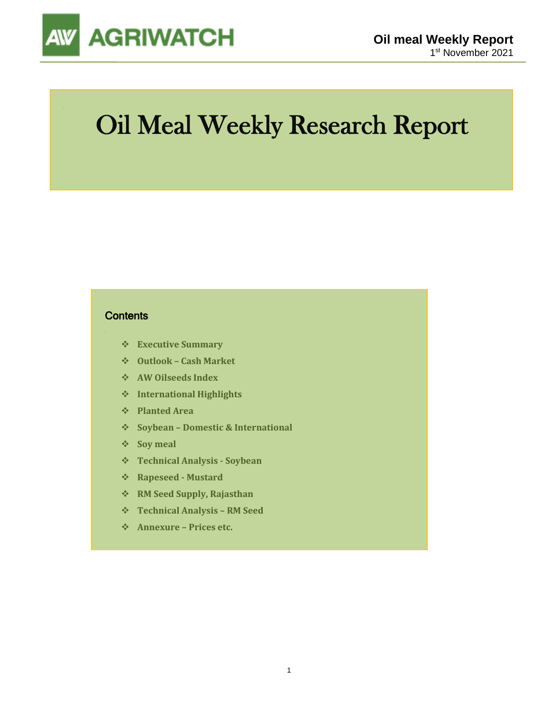

## Oil Meal Weekly Research Report

### **Contents**

- ❖ **Executive Summary**
- ❖ **Outlook – Cash Market**
- ❖ **AW Oilseeds Index**
- ❖ **International Highlights**
- ❖ **Planted Area**
- ❖ **Soybean – Domestic & International**
- ❖ **Soy meal**
- ❖ **Technical Analysis - Soybean**
- ❖ **Rapeseed - Mustard**
- ❖ **RM Seed Supply, Rajasthan**
- ❖ **Technical Analysis – RM Seed**
- ❖ **Annexure – Prices etc.**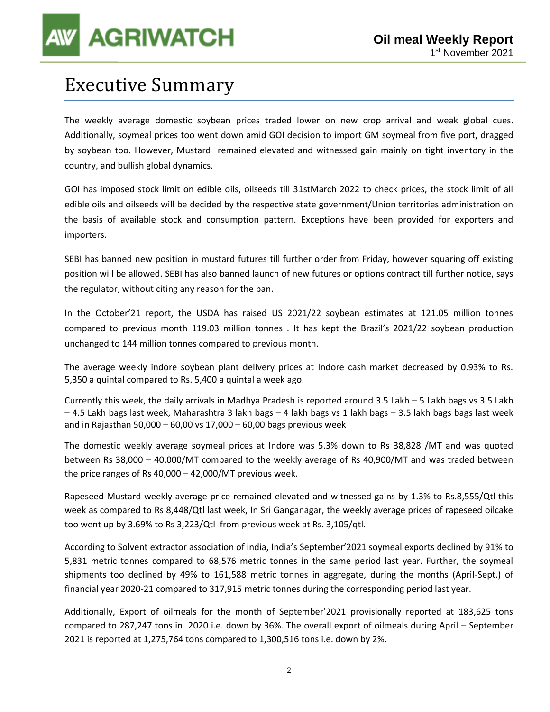## Executive Summary

The weekly average domestic soybean prices traded lower on new crop arrival and weak global cues. Additionally, soymeal prices too went down amid GOI decision to import GM soymeal from five port, dragged by soybean too. However, Mustard remained elevated and witnessed gain mainly on tight inventory in the country, and bullish global dynamics.

GOI has imposed stock limit on edible oils, oilseeds till 31stMarch 2022 to check prices, the stock limit of all edible oils and oilseeds will be decided by the respective state government/Union territories administration on the basis of available stock and consumption pattern. Exceptions have been provided for exporters and importers.

SEBI has banned new position in mustard futures till further order from Friday, however squaring off existing position will be allowed. SEBI has also banned launch of new futures or options contract till further notice, says the regulator, without citing any reason for the ban.

In the October'21 report, the USDA has raised US 2021/22 soybean estimates at 121.05 million tonnes compared to previous month 119.03 million tonnes . It has kept the Brazil's 2021/22 soybean production unchanged to 144 million tonnes compared to previous month.

The average weekly indore soybean plant delivery prices at Indore cash market decreased by 0.93% to Rs. 5,350 a quintal compared to Rs. 5,400 a quintal a week ago.

Currently this week, the daily arrivals in Madhya Pradesh is reported around 3.5 Lakh – 5 Lakh bags vs 3.5 Lakh – 4.5 Lakh bags last week, Maharashtra 3 lakh bags – 4 lakh bags vs 1 lakh bags – 3.5 lakh bags bags last week and in Rajasthan 50,000 – 60,00 vs 17,000 – 60,00 bags previous week

The domestic weekly average soymeal prices at Indore was 5.3% down to Rs 38,828 /MT and was quoted between Rs 38,000 – 40,000/MT compared to the weekly average of Rs 40,900/MT and was traded between the price ranges of Rs 40,000 – 42,000/MT previous week.

Rapeseed Mustard weekly average price remained elevated and witnessed gains by 1.3% to Rs.8,555/Qtl this week as compared to Rs 8,448/Qtl last week, In Sri Ganganagar, the weekly average prices of rapeseed oilcake too went up by 3.69% to Rs 3,223/Qtl from previous week at Rs. 3,105/qtl.

According to Solvent extractor association of india, India's September'2021 soymeal exports declined by 91% to 5,831 metric tonnes compared to 68,576 metric tonnes in the same period last year. Further, the soymeal shipments too declined by 49% to 161,588 metric tonnes in aggregate, during the months (April-Sept.) of financial year 2020-21 compared to 317,915 metric tonnes during the corresponding period last year.

Additionally, Export of oilmeals for the month of September'2021 provisionally reported at 183,625 tons compared to 287,247 tons in 2020 i.e. down by 36%. The overall export of oilmeals during April – September 2021 is reported at 1,275,764 tons compared to 1,300,516 tons i.e. down by 2%.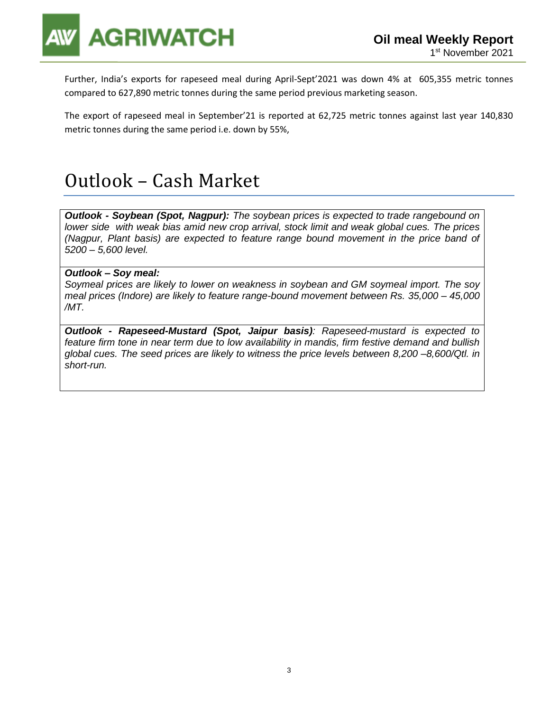

Further, India's exports for rapeseed meal during April-Sept'2021 was down 4% at 605,355 metric tonnes compared to 627,890 metric tonnes during the same period previous marketing season.

The export of rapeseed meal in September'21 is reported at 62,725 metric tonnes against last year 140,830 metric tonnes during the same period i.e. down by 55%,

## Outlook – Cash Market

*Outlook - Soybean (Spot, Nagpur): The soybean prices is expected to trade rangebound on lower side with weak bias amid new crop arrival, stock limit and weak global cues. The prices (Nagpur, Plant basis) are expected to feature range bound movement in the price band of 5200 – 5,600 level.*

### *Outlook – Soy meal:*

*Soymeal prices are likely to lower on weakness in soybean and GM soymeal import. The soy meal prices (Indore) are likely to feature range-bound movement between Rs. 35,000 – 45,000 /MT.*

*Outlook - Rapeseed-Mustard (Spot, Jaipur basis): Rapeseed-mustard is expected to feature firm tone in near term due to low availability in mandis, firm festive demand and bullish global cues. The seed prices are likely to witness the price levels between 8,200 –8,600/Qtl. in short-run.*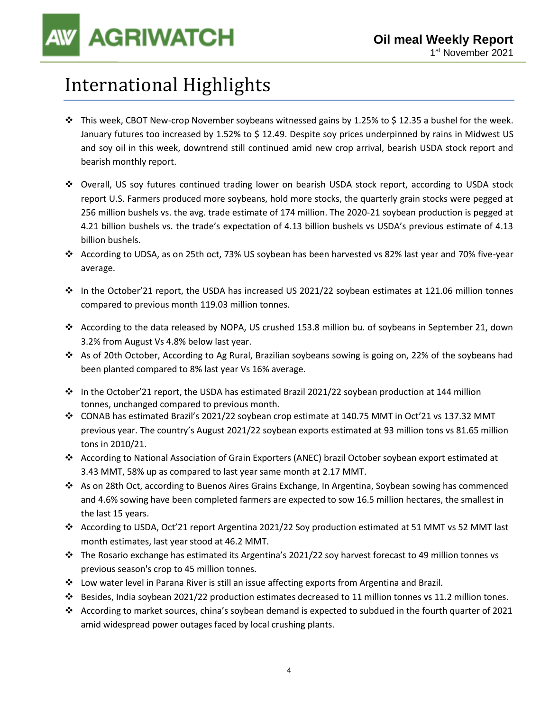## International Highlights

- $\cdot \cdot$  This week, CBOT New-crop November soybeans witnessed gains by 1.25% to \$12.35 a bushel for the week. January futures too increased by 1.52% to \$ 12.49. Despite soy prices underpinned by rains in Midwest US and soy oil in this week, downtrend still continued amid new crop arrival, bearish USDA stock report and bearish monthly report.
- ❖ Overall, US soy futures continued trading lower on bearish USDA stock report, according to USDA stock report U.S. Farmers produced more soybeans, hold more stocks, the quarterly grain stocks were pegged at 256 million bushels vs. the avg. trade estimate of 174 million. The 2020-21 soybean production is pegged at 4.21 billion bushels vs. the trade's expectation of 4.13 billion bushels vs USDA's previous estimate of 4.13 billion bushels.
- ❖ According to UDSA, as on 25th oct, 73% US soybean has been harvested vs 82% last year and 70% five-year average.
- ❖ In the October'21 report, the USDA has increased US 2021/22 soybean estimates at 121.06 million tonnes compared to previous month 119.03 million tonnes.
- ❖ According to the data released by NOPA, US crushed 153.8 million bu. of soybeans in September 21, down 3.2% from August Vs 4.8% below last year.
- ❖ As of 20th October, According to Ag Rural, Brazilian soybeans sowing is going on, 22% of the soybeans had been planted compared to 8% last year Vs 16% average.
- ❖ In the October'21 report, the USDA has estimated Brazil 2021/22 soybean production at 144 million tonnes, unchanged compared to previous month.
- ❖ CONAB has estimated Brazil's 2021/22 soybean crop estimate at 140.75 MMT in Oct'21 vs 137.32 MMT previous year. The country's August 2021/22 soybean exports estimated at 93 million tons vs 81.65 million tons in 2010/21.
- ❖ According to National Association of Grain Exporters (ANEC) brazil October soybean export estimated at 3.43 MMT, 58% up as compared to last year same month at 2.17 MMT.
- ❖ As on 28th Oct, according to Buenos Aires Grains Exchange, In Argentina, Soybean sowing has commenced and 4.6% sowing have been completed farmers are expected to sow 16.5 million hectares, the smallest in the last 15 years.
- ❖ According to USDA, Oct'21 report Argentina 2021/22 Soy production estimated at 51 MMT vs 52 MMT last month estimates, last year stood at 46.2 MMT.
- ❖ The Rosario exchange has estimated its Argentina's 2021/22 soy harvest forecast to 49 million tonnes vs previous season's crop to 45 million tonnes.
- ❖ Low water level in Parana River is still an issue affecting exports from Argentina and Brazil.
- ❖ Besides, India soybean 2021/22 production estimates decreased to 11 million tonnes vs 11.2 million tones.
- ❖ According to market sources, china's soybean demand is expected to subdued in the fourth quarter of 2021 amid widespread power outages faced by local crushing plants.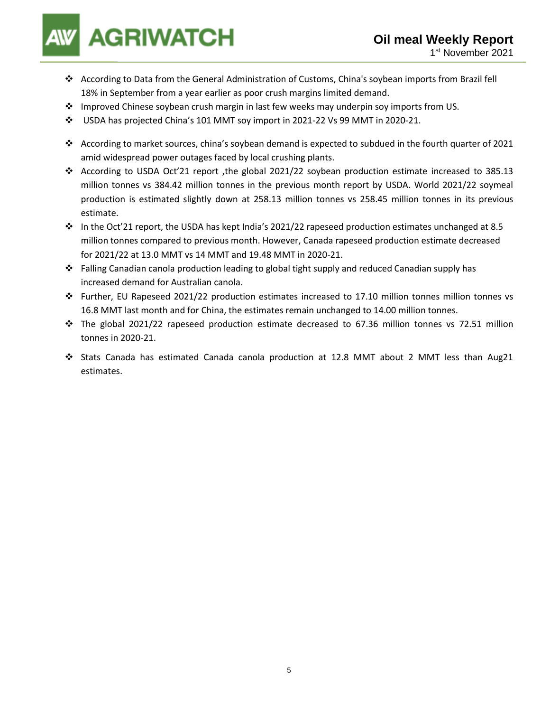- ❖ According to Data from the General Administration of Customs, China's soybean imports from Brazil fell 18% in September from a year earlier as poor crush margins limited demand.
- ❖ Improved Chinese soybean crush margin in last few weeks may underpin soy imports from US.
- ❖ USDA has projected China's 101 MMT soy import in 2021-22 Vs 99 MMT in 2020-21.
- ❖ According to market sources, china's soybean demand is expected to subdued in the fourth quarter of 2021 amid widespread power outages faced by local crushing plants.
- ❖ According to USDA Oct'21 report ,the global 2021/22 soybean production estimate increased to 385.13 million tonnes vs 384.42 million tonnes in the previous month report by USDA. World 2021/22 soymeal production is estimated slightly down at 258.13 million tonnes vs 258.45 million tonnes in its previous estimate.
- ❖ In the Oct'21 report, the USDA has kept India's 2021/22 rapeseed production estimates unchanged at 8.5 million tonnes compared to previous month. However, Canada rapeseed production estimate decreased for 2021/22 at 13.0 MMT vs 14 MMT and 19.48 MMT in 2020-21.
- ❖ Falling Canadian canola production leading to global tight supply and reduced Canadian supply has increased demand for Australian canola.
- ❖ Further, EU Rapeseed 2021/22 production estimates increased to 17.10 million tonnes million tonnes vs 16.8 MMT last month and for China, the estimates remain unchanged to 14.00 million tonnes.
- ❖ The global 2021/22 rapeseed production estimate decreased to 67.36 million tonnes vs 72.51 million tonnes in 2020-21.
- ❖ Stats Canada has estimated Canada canola production at 12.8 MMT about 2 MMT less than Aug21 estimates.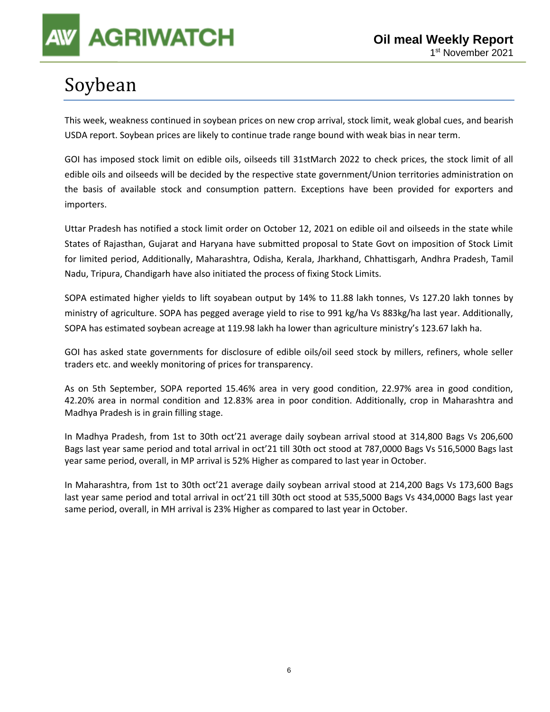

## Soybean

This week, weakness continued in soybean prices on new crop arrival, stock limit, weak global cues, and bearish USDA report. Soybean prices are likely to continue trade range bound with weak bias in near term.

GOI has imposed stock limit on edible oils, oilseeds till 31stMarch 2022 to check prices, the stock limit of all edible oils and oilseeds will be decided by the respective state government/Union territories administration on the basis of available stock and consumption pattern. Exceptions have been provided for exporters and importers.

Uttar Pradesh has notified a stock limit order on October 12, 2021 on edible oil and oilseeds in the state while States of Rajasthan, Gujarat and Haryana have submitted proposal to State Govt on imposition of Stock Limit for limited period, Additionally, Maharashtra, Odisha, Kerala, Jharkhand, Chhattisgarh, Andhra Pradesh, Tamil Nadu, Tripura, Chandigarh have also initiated the process of fixing Stock Limits.

SOPA estimated higher yields to lift soyabean output by 14% to 11.88 lakh tonnes, Vs 127.20 lakh tonnes by ministry of agriculture. SOPA has pegged average yield to rise to 991 kg/ha Vs 883kg/ha last year. Additionally, SOPA has estimated soybean acreage at 119.98 lakh ha lower than agriculture ministry's 123.67 lakh ha.

GOI has asked state governments for disclosure of edible oils/oil seed stock by millers, refiners, whole seller traders etc. and weekly monitoring of prices for transparency.

As on 5th September, SOPA reported 15.46% area in very good condition, 22.97% area in good condition, 42.20% area in normal condition and 12.83% area in poor condition. Additionally, crop in Maharashtra and Madhya Pradesh is in grain filling stage.

In Madhya Pradesh, from 1st to 30th oct'21 average daily soybean arrival stood at 314,800 Bags Vs 206,600 Bags last year same period and total arrival in oct'21 till 30th oct stood at 787,0000 Bags Vs 516,5000 Bags last year same period, overall, in MP arrival is 52% Higher as compared to last year in October.

In Maharashtra, from 1st to 30th oct'21 average daily soybean arrival stood at 214,200 Bags Vs 173,600 Bags last year same period and total arrival in oct'21 till 30th oct stood at 535,5000 Bags Vs 434,0000 Bags last year same period, overall, in MH arrival is 23% Higher as compared to last year in October.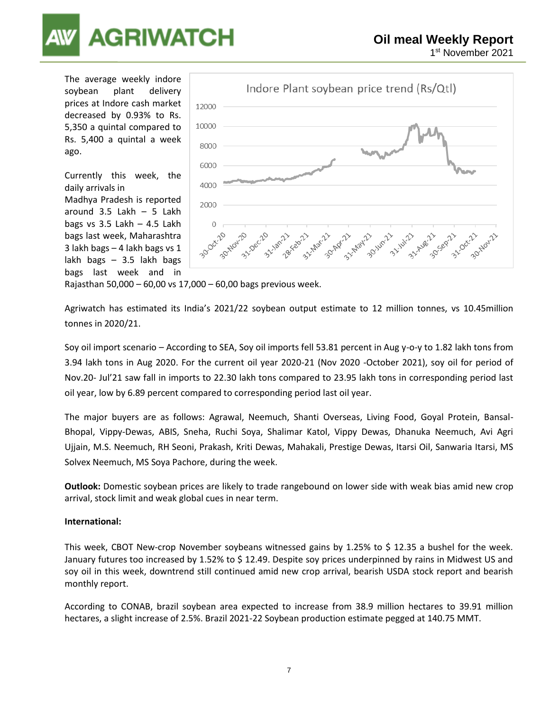

The average weekly indore soybean plant delivery prices at Indore cash market decreased by 0.93% to Rs. 5,350 a quintal compared to Rs. 5,400 a quintal a week ago.

Currently this week, the daily arrivals in Madhya Pradesh is reported around 3.5 Lakh – 5 Lakh bags vs  $3.5$  Lakh –  $4.5$  Lakh bags last week, Maharashtra 3 lakh bags – 4 lakh bags vs 1 lakh bags – 3.5 lakh bags bags last week and in



Rajasthan 50,000 – 60,00 vs 17,000 – 60,00 bags previous week.

Agriwatch has estimated its India's 2021/22 soybean output estimate to 12 million tonnes, vs 10.45million tonnes in 2020/21.

Soy oil import scenario – According to SEA, Soy oil imports fell 53.81 percent in Aug y-o-y to 1.82 lakh tons from 3.94 lakh tons in Aug 2020. For the current oil year 2020-21 (Nov 2020 -October 2021), soy oil for period of Nov.20- Jul'21 saw fall in imports to 22.30 lakh tons compared to 23.95 lakh tons in corresponding period last oil year, low by 6.89 percent compared to corresponding period last oil year.

The major buyers are as follows: Agrawal, Neemuch, Shanti Overseas, Living Food, Goyal Protein, Bansal-Bhopal, Vippy-Dewas, ABIS, Sneha, Ruchi Soya, Shalimar Katol, Vippy Dewas, Dhanuka Neemuch, Avi Agri Ujjain, M.S. Neemuch, RH Seoni, Prakash, Kriti Dewas, Mahakali, Prestige Dewas, Itarsi Oil, Sanwaria Itarsi, MS Solvex Neemuch, MS Soya Pachore, during the week.

**Outlook:** Domestic soybean prices are likely to trade rangebound on lower side with weak bias amid new crop arrival, stock limit and weak global cues in near term.

### **International:**

This week, CBOT New-crop November soybeans witnessed gains by 1.25% to \$ 12.35 a bushel for the week. January futures too increased by 1.52% to \$ 12.49. Despite soy prices underpinned by rains in Midwest US and soy oil in this week, downtrend still continued amid new crop arrival, bearish USDA stock report and bearish monthly report.

According to CONAB, brazil soybean area expected to increase from 38.9 million hectares to 39.91 million hectares, a slight increase of 2.5%. Brazil 2021-22 Soybean production estimate pegged at 140.75 MMT.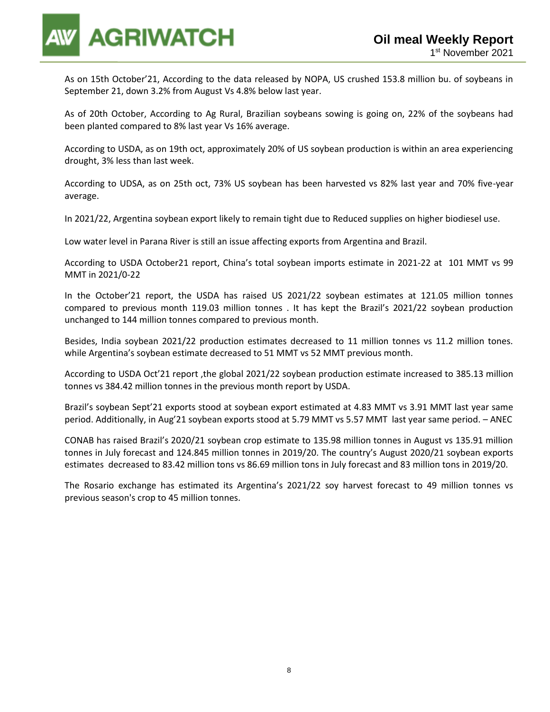

As on 15th October'21, According to the data released by NOPA, US crushed 153.8 million bu. of soybeans in September 21, down 3.2% from August Vs 4.8% below last year.

As of 20th October, According to Ag Rural, Brazilian soybeans sowing is going on, 22% of the soybeans had been planted compared to 8% last year Vs 16% average.

According to USDA, as on 19th oct, approximately 20% of US soybean production is within an area experiencing drought, 3% less than last week.

According to UDSA, as on 25th oct, 73% US soybean has been harvested vs 82% last year and 70% five-year average.

In 2021/22, Argentina soybean export likely to remain tight due to Reduced supplies on higher biodiesel use.

Low water level in Parana River is still an issue affecting exports from Argentina and Brazil.

According to USDA October21 report, China's total soybean imports estimate in 2021-22 at 101 MMT vs 99 MMT in 2021/0-22

In the October'21 report, the USDA has raised US 2021/22 soybean estimates at 121.05 million tonnes compared to previous month 119.03 million tonnes . It has kept the Brazil's 2021/22 soybean production unchanged to 144 million tonnes compared to previous month.

Besides, India soybean 2021/22 production estimates decreased to 11 million tonnes vs 11.2 million tones. while Argentina's soybean estimate decreased to 51 MMT vs 52 MMT previous month.

According to USDA Oct'21 report ,the global 2021/22 soybean production estimate increased to 385.13 million tonnes vs 384.42 million tonnes in the previous month report by USDA.

Brazil's soybean Sept'21 exports stood at soybean export estimated at 4.83 MMT vs 3.91 MMT last year same period. Additionally, in Aug'21 soybean exports stood at 5.79 MMT vs 5.57 MMT last year same period. – ANEC

CONAB has raised Brazil's 2020/21 soybean crop estimate to 135.98 million tonnes in August vs 135.91 million tonnes in July forecast and 124.845 million tonnes in 2019/20. The country's August 2020/21 soybean exports estimates decreased to 83.42 million tons vs 86.69 million tons in July forecast and 83 million tons in 2019/20.

The Rosario exchange has estimated its Argentina's 2021/22 soy harvest forecast to 49 million tonnes vs previous season's crop to 45 million tonnes.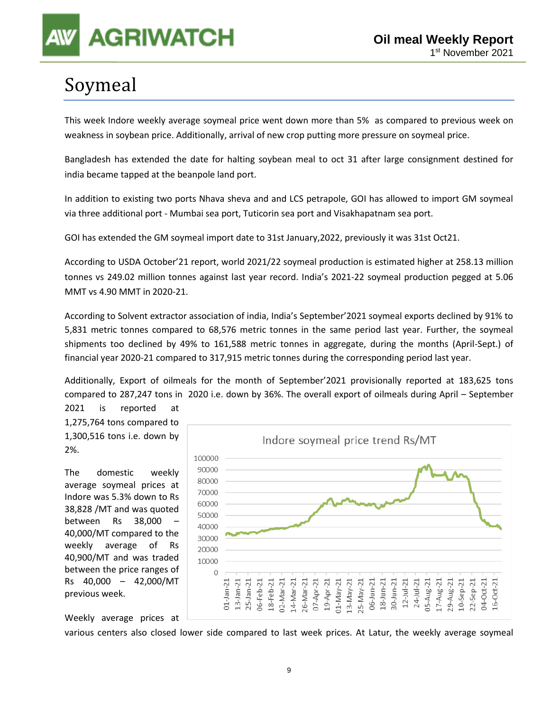## Soymeal

This week Indore weekly average soymeal price went down more than 5% as compared to previous week on weakness in soybean price. Additionally, arrival of new crop putting more pressure on soymeal price.

Bangladesh has extended the date for halting soybean meal to oct 31 after large consignment destined for india became tapped at the beanpole land port.

In addition to existing two ports Nhava sheva and and LCS petrapole, GOI has allowed to import GM soymeal via three additional port - Mumbai sea port, Tuticorin sea port and Visakhapatnam sea port.

GOI has extended the GM soymeal import date to 31st January,2022, previously it was 31st Oct21.

According to USDA October'21 report, world 2021/22 soymeal production is estimated higher at 258.13 million tonnes vs 249.02 million tonnes against last year record. India's 2021-22 soymeal production pegged at 5.06 MMT vs 4.90 MMT in 2020-21.

According to Solvent extractor association of india, India's September'2021 soymeal exports declined by 91% to 5,831 metric tonnes compared to 68,576 metric tonnes in the same period last year. Further, the soymeal shipments too declined by 49% to 161,588 metric tonnes in aggregate, during the months (April-Sept.) of financial year 2020-21 compared to 317,915 metric tonnes during the corresponding period last year.

Additionally, Export of oilmeals for the month of September'2021 provisionally reported at 183,625 tons compared to 287,247 tons in 2020 i.e. down by 36%. The overall export of oilmeals during April – September 2021 is reported at

1,275,764 tons compared to 1,300,516 tons i.e. down by 2%.

The domestic weekly average soymeal prices at Indore was 5.3% down to Rs 38,828 /MT and was quoted between Rs 38,000 – 40,000/MT compared to the weekly average of Rs 40,900/MT and was traded between the price ranges of Rs 40,000 – 42,000/MT previous week.



Weekly average prices at

various centers also closed lower side compared to last week prices. At Latur, the weekly average soymeal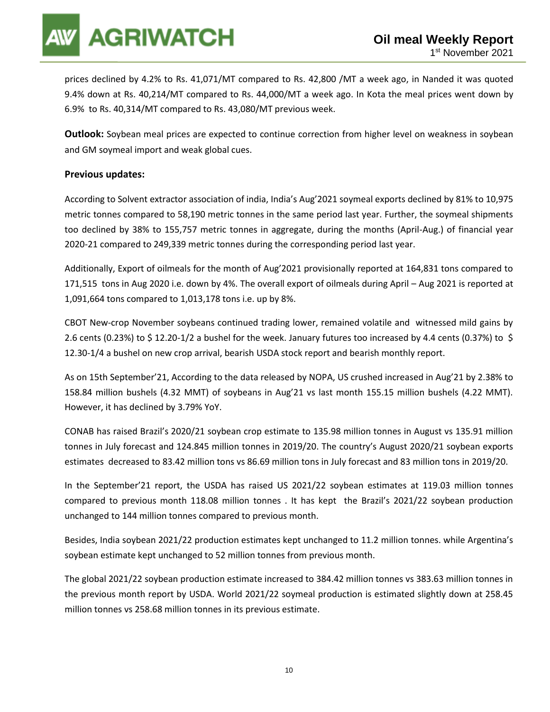prices declined by 4.2% to Rs. 41,071/MT compared to Rs. 42,800 /MT a week ago, in Nanded it was quoted 9.4% down at Rs. 40,214/MT compared to Rs. 44,000/MT a week ago. In Kota the meal prices went down by 6.9% to Rs. 40,314/MT compared to Rs. 43,080/MT previous week.

**Outlook:** Soybean meal prices are expected to continue correction from higher level on weakness in soybean and GM soymeal import and weak global cues.

### **Previous updates:**

According to Solvent extractor association of india, India's Aug'2021 soymeal exports declined by 81% to 10,975 metric tonnes compared to 58,190 metric tonnes in the same period last year. Further, the soymeal shipments too declined by 38% to 155,757 metric tonnes in aggregate, during the months (April-Aug.) of financial year 2020-21 compared to 249,339 metric tonnes during the corresponding period last year.

Additionally, Export of oilmeals for the month of Aug'2021 provisionally reported at 164,831 tons compared to 171,515 tons in Aug 2020 i.e. down by 4%. The overall export of oilmeals during April – Aug 2021 is reported at 1,091,664 tons compared to 1,013,178 tons i.e. up by 8%.

CBOT New-crop November soybeans continued trading lower, remained volatile and witnessed mild gains by 2.6 cents (0.23%) to \$ 12.20-1/2 a bushel for the week. January futures too increased by 4.4 cents (0.37%) to \$ 12.30-1/4 a bushel on new crop arrival, bearish USDA stock report and bearish monthly report.

As on 15th September'21, According to the data released by NOPA, US crushed increased in Aug'21 by 2.38% to 158.84 million bushels (4.32 MMT) of soybeans in Aug'21 vs last month 155.15 million bushels (4.22 MMT). However, it has declined by 3.79% YoY.

CONAB has raised Brazil's 2020/21 soybean crop estimate to 135.98 million tonnes in August vs 135.91 million tonnes in July forecast and 124.845 million tonnes in 2019/20. The country's August 2020/21 soybean exports estimates decreased to 83.42 million tons vs 86.69 million tons in July forecast and 83 million tons in 2019/20.

In the September'21 report, the USDA has raised US 2021/22 soybean estimates at 119.03 million tonnes compared to previous month 118.08 million tonnes . It has kept the Brazil's 2021/22 soybean production unchanged to 144 million tonnes compared to previous month.

Besides, India soybean 2021/22 production estimates kept unchanged to 11.2 million tonnes. while Argentina's soybean estimate kept unchanged to 52 million tonnes from previous month.

The global 2021/22 soybean production estimate increased to 384.42 million tonnes vs 383.63 million tonnes in the previous month report by USDA. World 2021/22 soymeal production is estimated slightly down at 258.45 million tonnes vs 258.68 million tonnes in its previous estimate.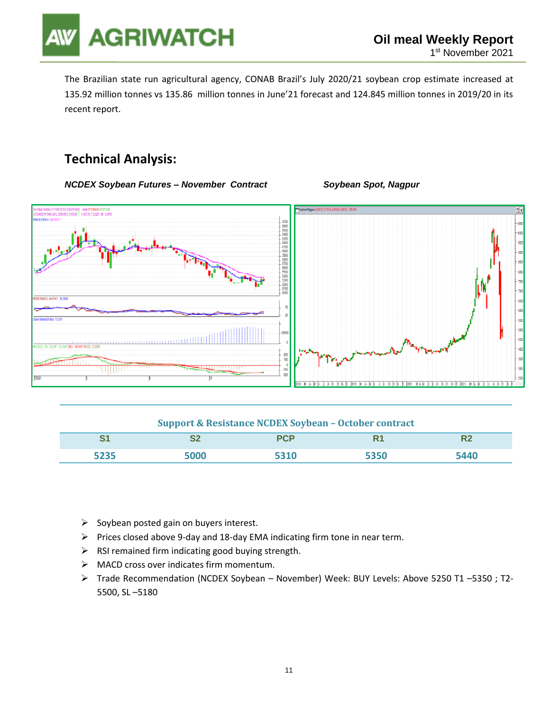

The Brazilian state run agricultural agency, CONAB Brazil's July 2020/21 soybean crop estimate increased at 135.92 million tonnes vs 135.86 million tonnes in June'21 forecast and 124.845 million tonnes in 2019/20 in its recent report.

### **Technical Analysis:**

*NCDEX Soybean Futures – November Contract Soybean Spot, Nagpur* 





### **Support & Resistance NCDEX Soybean – October contract**

| $\mathbf{C}$<br>ັ | c<br>◡▵ | nen  | DA.  | w |
|-------------------|---------|------|------|---|
| 5235              | $\sim$  | ט בנ | 5350 |   |

- $\triangleright$  Soybean posted gain on buyers interest.
- ➢ Prices closed above 9-day and 18-day EMA indicating firm tone in near term.
- $\triangleright$  RSI remained firm indicating good buying strength.
- ➢ MACD cross over indicates firm momentum.
- ➢ Trade Recommendation (NCDEX Soybean November) Week: BUY Levels: Above 5250 T1 –5350 ; T2- 5500, SL –5180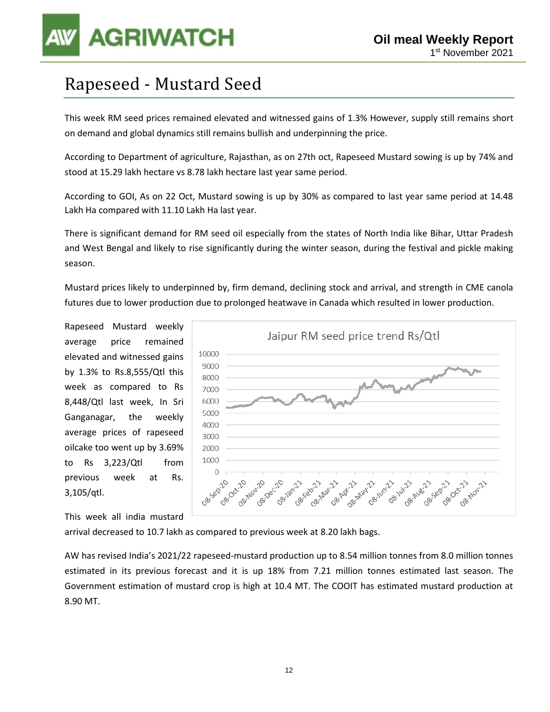## Rapeseed - Mustard Seed

This week RM seed prices remained elevated and witnessed gains of 1.3% However, supply still remains short on demand and global dynamics still remains bullish and underpinning the price.

According to Department of agriculture, Rajasthan, as on 27th oct, Rapeseed Mustard sowing is up by 74% and stood at 15.29 lakh hectare vs 8.78 lakh hectare last year same period.

According to GOI, As on 22 Oct, Mustard sowing is up by 30% as compared to last year same period at 14.48 Lakh Ha compared with 11.10 Lakh Ha last year.

There is significant demand for RM seed oil especially from the states of North India like Bihar, Uttar Pradesh and West Bengal and likely to rise significantly during the winter season, during the festival and pickle making season.

Mustard prices likely to underpinned by, firm demand, declining stock and arrival, and strength in CME canola futures due to lower production due to prolonged heatwave in Canada which resulted in lower production.

Rapeseed Mustard weekly average price remained elevated and witnessed gains by 1.3% to Rs.8,555/Qtl this week as compared to Rs 8,448/Qtl last week, In Sri Ganganagar, the weekly average prices of rapeseed oilcake too went up by 3.69% to Rs 3,223/Qtl from previous week at Rs. 3,105/qtl.

This week all india mustard



arrival decreased to 10.7 lakh as compared to previous week at 8.20 lakh bags.

AW has revised India's 2021/22 rapeseed-mustard production up to 8.54 million tonnes from 8.0 million tonnes estimated in its previous forecast and it is up 18% from 7.21 million tonnes estimated last season. The Government estimation of mustard crop is high at 10.4 MT. The COOIT has estimated mustard production at 8.90 MT.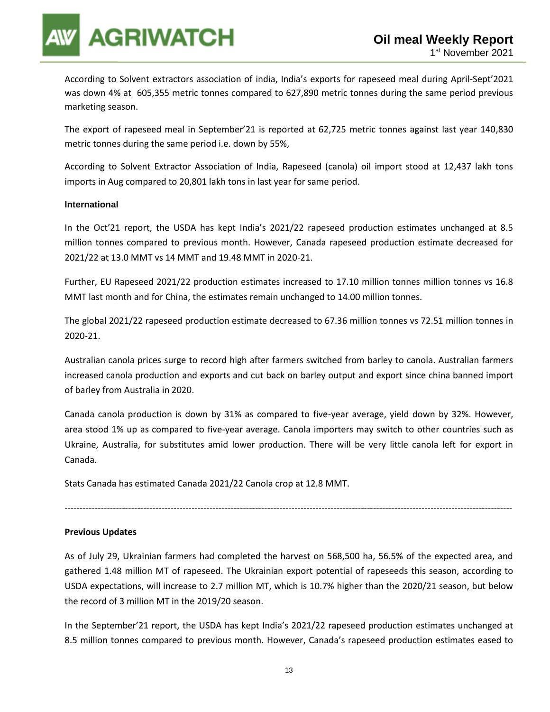According to Solvent extractors association of india, India's exports for rapeseed meal during April-Sept'2021 was down 4% at 605,355 metric tonnes compared to 627,890 metric tonnes during the same period previous marketing season.

The export of rapeseed meal in September'21 is reported at 62,725 metric tonnes against last year 140,830 metric tonnes during the same period i.e. down by 55%,

According to Solvent Extractor Association of India, Rapeseed (canola) oil import stood at 12,437 lakh tons imports in Aug compared to 20,801 lakh tons in last year for same period.

### **International**

In the Oct'21 report, the USDA has kept India's 2021/22 rapeseed production estimates unchanged at 8.5 million tonnes compared to previous month. However, Canada rapeseed production estimate decreased for 2021/22 at 13.0 MMT vs 14 MMT and 19.48 MMT in 2020-21.

Further, EU Rapeseed 2021/22 production estimates increased to 17.10 million tonnes million tonnes vs 16.8 MMT last month and for China, the estimates remain unchanged to 14.00 million tonnes.

The global 2021/22 rapeseed production estimate decreased to 67.36 million tonnes vs 72.51 million tonnes in 2020-21.

Australian canola prices surge to record high after farmers switched from barley to canola. Australian farmers increased canola production and exports and cut back on barley output and export since china banned import of barley from Australia in 2020.

Canada canola production is down by 31% as compared to five-year average, yield down by 32%. However, area stood 1% up as compared to five-year average. Canola importers may switch to other countries such as Ukraine, Australia, for substitutes amid lower production. There will be very little canola left for export in Canada.

Stats Canada has estimated Canada 2021/22 Canola crop at 12.8 MMT.

### **Previous Updates**

As of July 29, Ukrainian farmers had completed the harvest on 568,500 ha, 56.5% of the expected area, and gathered 1.48 million MT of rapeseed. The Ukrainian export potential of rapeseeds this season, according to USDA expectations, will increase to 2.7 million MT, which is 10.7% higher than the 2020/21 season, but below the record of 3 million MT in the 2019/20 season.

----------------------------------------------------------------------------------------------------------------------------------------------------

In the September'21 report, the USDA has kept India's 2021/22 rapeseed production estimates unchanged at 8.5 million tonnes compared to previous month. However, Canada's rapeseed production estimates eased to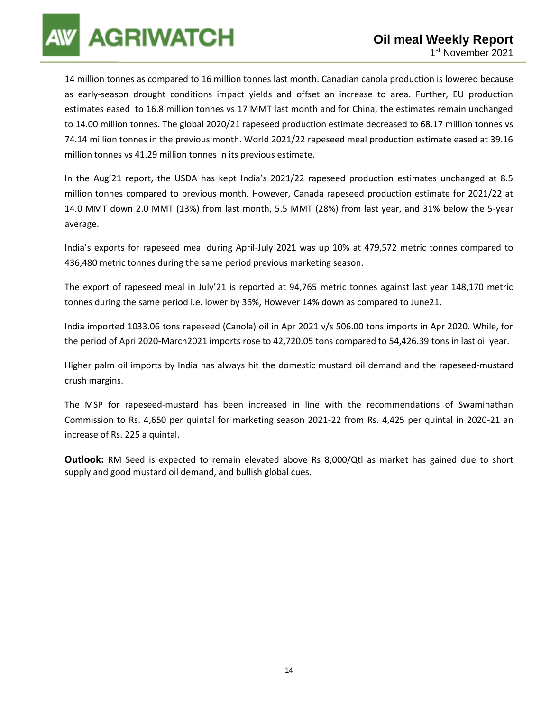14 million tonnes as compared to 16 million tonnes last month. Canadian canola production is lowered because as early-season drought conditions impact yields and offset an increase to area. Further, EU production estimates eased to 16.8 million tonnes vs 17 MMT last month and for China, the estimates remain unchanged to 14.00 million tonnes. The global 2020/21 rapeseed production estimate decreased to 68.17 million tonnes vs 74.14 million tonnes in the previous month. World 2021/22 rapeseed meal production estimate eased at 39.16 million tonnes vs 41.29 million tonnes in its previous estimate.

In the Aug'21 report, the USDA has kept India's 2021/22 rapeseed production estimates unchanged at 8.5 million tonnes compared to previous month. However, Canada rapeseed production estimate for 2021/22 at 14.0 MMT down 2.0 MMT (13%) from last month, 5.5 MMT (28%) from last year, and 31% below the 5-year average.

India's exports for rapeseed meal during April-July 2021 was up 10% at 479,572 metric tonnes compared to 436,480 metric tonnes during the same period previous marketing season.

The export of rapeseed meal in July'21 is reported at 94,765 metric tonnes against last year 148,170 metric tonnes during the same period i.e. lower by 36%, However 14% down as compared to June21.

India imported 1033.06 tons rapeseed (Canola) oil in Apr 2021 v/s 506.00 tons imports in Apr 2020. While, for the period of April2020-March2021 imports rose to 42,720.05 tons compared to 54,426.39 tons in last oil year.

Higher palm oil imports by India has always hit the domestic mustard oil demand and the rapeseed-mustard crush margins.

The MSP for rapeseed-mustard has been increased in line with the recommendations of Swaminathan Commission to Rs. 4,650 per quintal for marketing season 2021-22 from Rs. 4,425 per quintal in 2020-21 an increase of Rs. 225 a quintal.

**Outlook:** RM Seed is expected to remain elevated above Rs 8,000/Qtl as market has gained due to short supply and good mustard oil demand, and bullish global cues.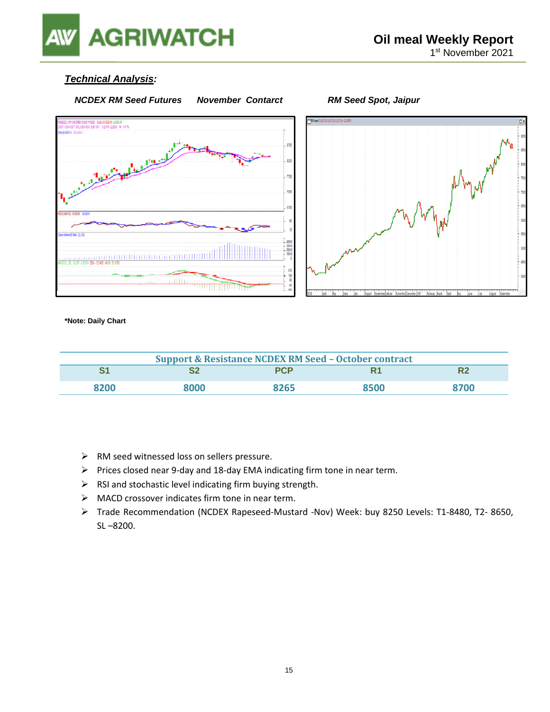

### *Technical Analysis:*



**\*Note: Daily Chart**

| <b>Support &amp; Resistance NCDEX RM Seed - October contract</b> |      |            |      |      |  |
|------------------------------------------------------------------|------|------------|------|------|--|
|                                                                  |      | <b>PCP</b> | R.   |      |  |
| 8200                                                             | RNNO | 8265       | 8500 | 8700 |  |

- ➢ RM seed witnessed loss on sellers pressure.
- ➢ Prices closed near 9-day and 18-day EMA indicating firm tone in near term.
- ➢ RSI and stochastic level indicating firm buying strength.
- ➢ MACD crossover indicates firm tone in near term.
- ➢ Trade Recommendation (NCDEX Rapeseed-Mustard -Nov) Week: buy 8250 Levels: T1-8480, T2- 8650, SL –8200.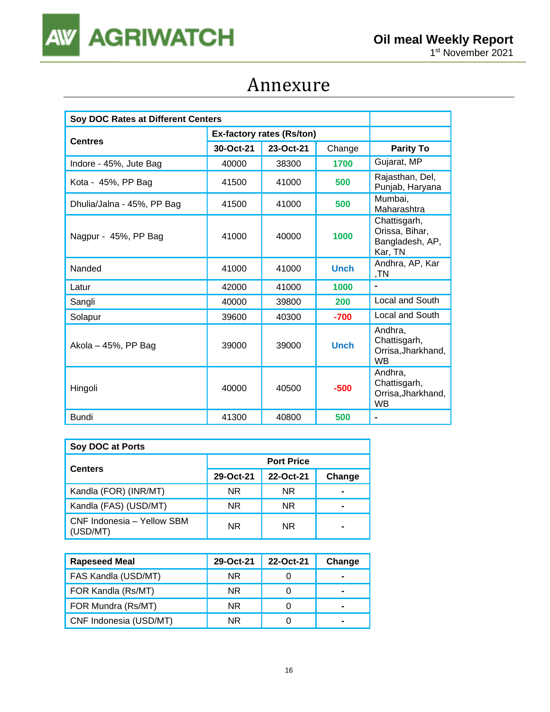

## Annexure

| Soy DOC Rates at Different Centers |                           |           |             |                                                              |
|------------------------------------|---------------------------|-----------|-------------|--------------------------------------------------------------|
|                                    | Ex-factory rates (Rs/ton) |           |             |                                                              |
| <b>Centres</b>                     | 30-Oct-21                 | 23-Oct-21 | Change      | <b>Parity To</b>                                             |
| Indore - 45%, Jute Bag             | 40000                     | 38300     | 1700        | Gujarat, MP                                                  |
| Kota - 45%, PP Bag                 | 41500                     | 41000     | 500         | Rajasthan, Del,<br>Punjab, Haryana                           |
| Dhulia/Jalna - 45%, PP Bag         | 41500                     | 41000     | 500         | Mumbai,<br>Maharashtra                                       |
| Nagpur - 45%, PP Bag               | 41000                     | 40000     | 1000        | Chattisgarh,<br>Orissa, Bihar,<br>Bangladesh, AP,<br>Kar, TN |
| Nanded                             | 41000                     | 41000     | <b>Unch</b> | Andhra, AP, Kar<br>,TN                                       |
| Latur                              | 42000                     | 41000     | 1000        |                                                              |
| Sangli                             | 40000                     | 39800     | 200         | Local and South                                              |
| Solapur                            | 39600                     | 40300     | $-700$      | Local and South                                              |
| Akola - 45%, PP Bag                | 39000                     | 39000     | <b>Unch</b> | Andhra,<br>Chattisgarh,<br>Orrisa, Jharkhand,<br><b>WB</b>   |
| Hingoli                            | 40000                     | 40500     | $-500$      | Andhra,<br>Chattisgarh,<br>Orrisa, Jharkhand,<br><b>WB</b>   |
| <b>Bundi</b>                       | 41300                     | 40800     | 500         | $\blacksquare$                                               |

| Soy DOC at Ports                       |                   |           |        |  |  |
|----------------------------------------|-------------------|-----------|--------|--|--|
| <b>Centers</b>                         | <b>Port Price</b> |           |        |  |  |
|                                        | 29-Oct-21         | 22-Oct-21 | Change |  |  |
| Kandla (FOR) (INR/MT)                  | NR.               | <b>NR</b> |        |  |  |
| Kandla (FAS) (USD/MT)                  | NR.               | <b>NR</b> |        |  |  |
| CNF Indonesia - Yellow SBM<br>(USD/MT) | NR.               | <b>NR</b> |        |  |  |

| <b>Rapeseed Meal</b>   | 29-Oct-21 | 22-Oct-21 | Change |
|------------------------|-----------|-----------|--------|
| FAS Kandla (USD/MT)    | <b>NR</b> |           | -      |
| FOR Kandla (Rs/MT)     | <b>NR</b> |           |        |
| FOR Mundra (Rs/MT)     | NR.       |           |        |
| CNF Indonesia (USD/MT) | NR.       |           | -      |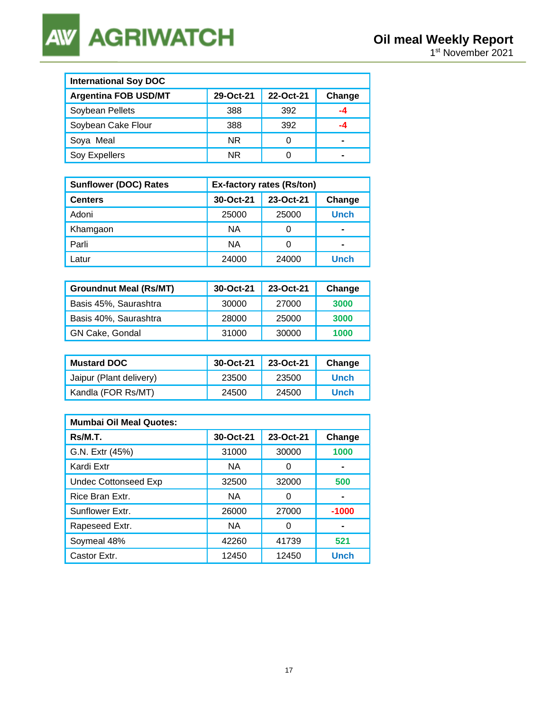**AGRIWATCH AW** 

| <b>International Soy DOC</b> |           |           |        |  |  |
|------------------------------|-----------|-----------|--------|--|--|
| <b>Argentina FOB USD/MT</b>  | 29-Oct-21 | 22-Oct-21 | Change |  |  |
| Soybean Pellets              | 388       | 392       | -4     |  |  |
| Soybean Cake Flour           | 388       | 392       |        |  |  |
| Soya Meal                    | NR.       |           | -      |  |  |
| Soy Expellers                | NR.       |           | -      |  |  |

| <b>Sunflower (DOC) Rates</b> | <b>Ex-factory rates (Rs/ton)</b> |           |             |  |
|------------------------------|----------------------------------|-----------|-------------|--|
| <b>Centers</b>               | 30-Oct-21                        | 23-Oct-21 | Change      |  |
| Adoni                        | 25000                            | 25000     | <b>Unch</b> |  |
| Khamgaon                     | <b>NA</b>                        | 0         |             |  |
| Parli                        | <b>NA</b>                        | 0         | -           |  |
| _atur                        | 24000                            | 24000     | Unch        |  |

| <b>Groundnut Meal (Rs/MT)</b> | 30-Oct-21 | 23-Oct-21 | Change |
|-------------------------------|-----------|-----------|--------|
| Basis 45%, Saurashtra         | 30000     | 27000     | 3000   |
| Basis 40%, Saurashtra         | 28000     | 25000     | 3000   |
| GN Cake, Gondal               | 31000     | 30000     | 1000   |

| <b>Mustard DOC</b>      | 30-Oct-21 | 23-Oct-21 | Change      |
|-------------------------|-----------|-----------|-------------|
| Jaipur (Plant delivery) | 23500     | 23500     | Unch        |
| Kandla (FOR Rs/MT)      | 24500     | 24500     | <b>Unch</b> |

| <b>Mumbai Oil Meal Quotes:</b> |           |           |             |  |  |
|--------------------------------|-----------|-----------|-------------|--|--|
| Rs/M.T.                        | 30-Oct-21 | 23-Oct-21 | Change      |  |  |
| G.N. Extr (45%)                | 31000     | 30000     | 1000        |  |  |
| Kardi Extr                     | <b>NA</b> | 0         |             |  |  |
| <b>Undec Cottonseed Exp</b>    | 32500     | 32000     | 500         |  |  |
| Rice Bran Extr.                | <b>NA</b> | 0         |             |  |  |
| Sunflower Extr.                | 26000     | 27000     | $-1000$     |  |  |
| Rapeseed Extr.                 | <b>NA</b> | O         |             |  |  |
| Soymeal 48%                    | 42260     | 41739     | 521         |  |  |
| Castor Extr.                   | 12450     | 12450     | <b>Unch</b> |  |  |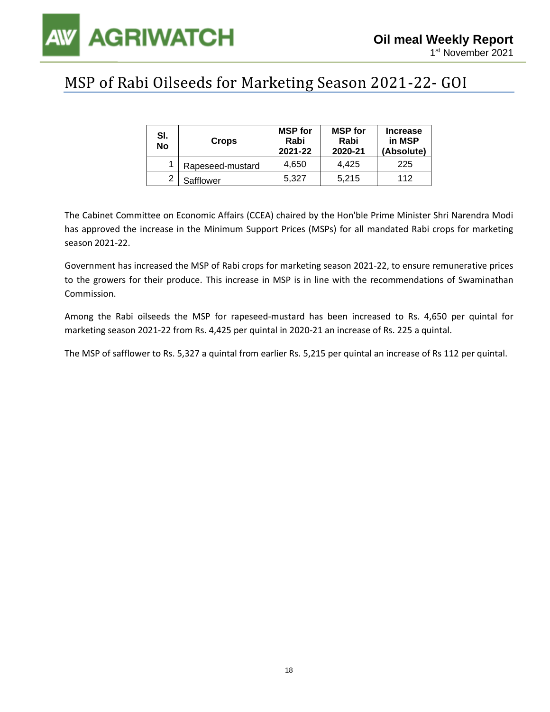

### MSP of Rabi Oilseeds for Marketing Season 2021-22- GOI

| SI.<br>No | <b>Crops</b>     | <b>MSP</b> for<br>Rabi<br>2021-22 | <b>MSP</b> for<br>Rabi<br>2020-21 | <b>Increase</b><br>in MSP<br>(Absolute) |
|-----------|------------------|-----------------------------------|-----------------------------------|-----------------------------------------|
|           | Rapeseed-mustard | 4.650                             | 4.425                             | 225                                     |
| ◠         | Safflower        | 5.327                             | 5.215                             | 112                                     |

The Cabinet Committee on Economic Affairs (CCEA) chaired by the Hon'ble Prime Minister Shri Narendra Modi has approved the increase in the Minimum Support Prices (MSPs) for all mandated Rabi crops for marketing season 2021-22.

Government has increased the MSP of Rabi crops for marketing season 2021-22, to ensure remunerative prices to the growers for their produce. This increase in MSP is in line with the recommendations of Swaminathan Commission.

Among the Rabi oilseeds the MSP for rapeseed-mustard has been increased to Rs. 4,650 per quintal for marketing season 2021-22 from Rs. 4,425 per quintal in 2020-21 an increase of Rs. 225 a quintal.

The MSP of safflower to Rs. 5,327 a quintal from earlier Rs. 5,215 per quintal an increase of Rs 112 per quintal.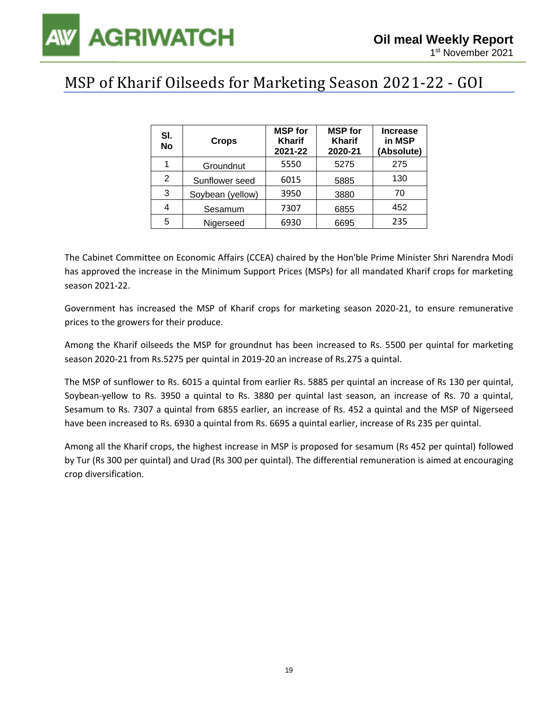### MSP of Kharif Oilseeds for Marketing Season 2021-22 - GOI

| SI.<br><b>No</b> | <b>Crops</b>     | <b>MSP</b> for<br><b>Kharif</b><br>2021-22 | <b>MSP</b> for<br><b>Kharif</b><br>2020-21 | <b>Increase</b><br>in MSP<br>(Absolute) |
|------------------|------------------|--------------------------------------------|--------------------------------------------|-----------------------------------------|
| 1                | Groundnut        | 5550                                       | 5275                                       | 275                                     |
| 2                | Sunflower seed   | 6015                                       | 5885                                       | 130                                     |
| 3                | Soybean (yellow) | 3950                                       | 3880                                       | 70                                      |
| 4                | Sesamum          | 7307                                       | 6855                                       | 452                                     |
| 5                | Nigerseed        | 6930                                       | 6695                                       | 235                                     |

The Cabinet Committee on Economic Affairs (CCEA) chaired by the Hon'ble Prime Minister Shri Narendra Modi has approved the increase in the Minimum Support Prices (MSPs) for all mandated Kharif crops for marketing season 2021-22.

Government has increased the MSP of Kharif crops for marketing season 2020-21, to ensure remunerative prices to the growers for their produce.

Among the Kharif oilseeds the MSP for groundnut has been increased to Rs. 5500 per quintal for marketing season 2020-21 from Rs.5275 per quintal in 2019-20 an increase of Rs.275 a quintal.

The MSP of sunflower to Rs. 6015 a quintal from earlier Rs. 5885 per quintal an increase of Rs 130 per quintal, Soybean-yellow to Rs. 3950 a quintal to Rs. 3880 per quintal last season, an increase of Rs. 70 a quintal, Sesamum to Rs. 7307 a quintal from 6855 earlier, an increase of Rs. 452 a quintal and the MSP of Nigerseed have been increased to Rs. 6930 a quintal from Rs. 6695 a quintal earlier, increase of Rs 235 per quintal.

Among all the Kharif crops, the highest increase in MSP is proposed for sesamum (Rs 452 per quintal) followed by Tur (Rs 300 per quintal) and Urad (Rs 300 per quintal). The differential remuneration is aimed at encouraging crop diversification.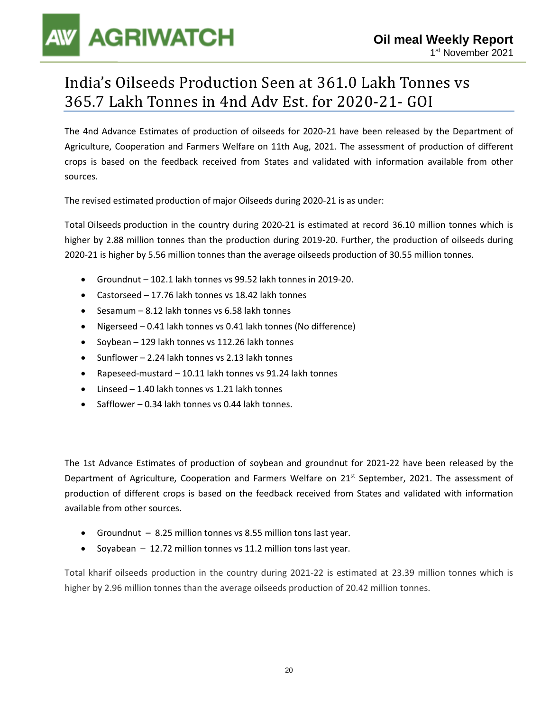### India's Oilseeds Production Seen at 361.0 Lakh Tonnes vs 365.7 Lakh Tonnes in 4nd Adv Est. for 2020-21- GOI

The 4nd Advance Estimates of production of oilseeds for 2020-21 have been released by the Department of Agriculture, Cooperation and Farmers Welfare on 11th Aug, 2021. The assessment of production of different crops is based on the feedback received from States and validated with information available from other sources.

The revised estimated production of major Oilseeds during 2020-21 is as under:

Total Oilseeds production in the country during 2020-21 is estimated at record 36.10 million tonnes which is higher by 2.88 million tonnes than the production during 2019-20. Further, the production of oilseeds during 2020-21 is higher by 5.56 million tonnes than the average oilseeds production of 30.55 million tonnes.

- Groundnut 102.1 lakh tonnes vs 99.52 lakh tonnes in 2019-20.
- Castorseed 17.76 lakh tonnes vs 18.42 lakh tonnes
- Sesamum 8.12 lakh tonnes vs 6.58 lakh tonnes
- Nigerseed 0.41 lakh tonnes vs 0.41 lakh tonnes (No difference)
- Soybean 129 lakh tonnes vs 112.26 lakh tonnes
- Sunflower 2.24 lakh tonnes vs 2.13 lakh tonnes
- Rapeseed-mustard 10.11 lakh tonnes vs 91.24 lakh tonnes
- Linseed 1.40 lakh tonnes vs 1.21 lakh tonnes
- Safflower 0.34 lakh tonnes vs 0.44 lakh tonnes.

The 1st Advance Estimates of production of soybean and groundnut for 2021-22 have been released by the Department of Agriculture, Cooperation and Farmers Welfare on 21<sup>st</sup> September, 2021. The assessment of production of different crops is based on the feedback received from States and validated with information available from other sources.

- Groundnut 8.25 million tonnes vs 8.55 million tons last year.
- Soyabean 12.72 million tonnes vs 11.2 million tons last year.

Total kharif oilseeds production in the country during 2021-22 is estimated at 23.39 million tonnes which is higher by 2.96 million tonnes than the average oilseeds production of 20.42 million tonnes.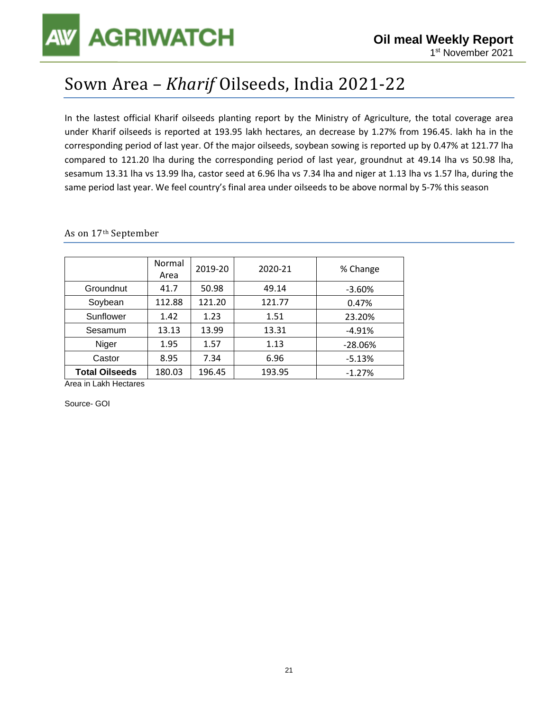## Sown Area – *Kharif* Oilseeds, India 2021-22

In the lastest official Kharif oilseeds planting report by the Ministry of Agriculture, the total coverage area under Kharif oilseeds is reported at 193.95 lakh hectares, an decrease by 1.27% from 196.45. lakh ha in the corresponding period of last year. Of the major oilseeds, soybean sowing is reported up by 0.47% at 121.77 lha compared to 121.20 lha during the corresponding period of last year, groundnut at 49.14 lha vs 50.98 lha, sesamum 13.31 lha vs 13.99 lha, castor seed at 6.96 lha vs 7.34 lha and niger at 1.13 lha vs 1.57 lha, during the same period last year. We feel country's final area under oilseeds to be above normal by 5-7% this season

|                       | Normal<br>Area | 2019-20 | 2020-21 | % Change  |  |
|-----------------------|----------------|---------|---------|-----------|--|
| Groundnut             | 41.7           | 50.98   | 49.14   | $-3.60%$  |  |
| Soybean               | 112.88         | 121.20  | 121.77  | 0.47%     |  |
| Sunflower             | 1.42           | 1.23    | 1.51    | 23.20%    |  |
| Sesamum               | 13.13          | 13.99   | 13.31   | $-4.91%$  |  |
| Niger                 | 1.95           | 1.57    | 1.13    | $-28.06%$ |  |
| Castor                | 8.95           | 7.34    | 6.96    | $-5.13%$  |  |
| <b>Total Oilseeds</b> | 180.03         | 196.45  | 193.95  | $-1.27%$  |  |

As on 17th September

Area in Lakh Hectares

Source- GOI